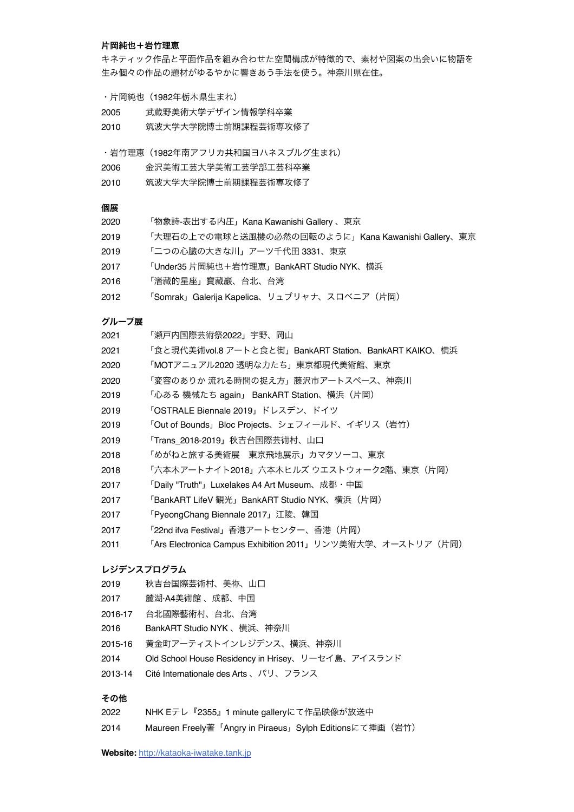#### 片岡純也+岩竹理恵

キネティック作品と平面作品を組み合わせた空間構成が特徴的で、素材や図案の出会いに物語を 生み個々の作品の題材がゆるやかに響きあう手法を使う。神奈川県在住。

- ・片岡純也(1982年栃木県生まれ)
- 2005 武蔵野美術大学デザイン情報学科卒業
- 2010 筑波大学大学院博士前期課程芸術専攻修了

・岩竹理恵(1982年南アフリカ共和国ヨハネスブルグ生まれ)

- 2006 金沢美術工芸大学美術工芸学部工芸科卒業
- 2010 筑波大学大学院博士前期課程芸術専攻修了

### 個展

- 2020 「物象詩-表出する内圧」Kana Kawanishi Gallery 、東京
- 2019 「大理石の上での電球と送風機の必然の回転のように」Kana Kawanishi Gallery、東京
- 2019 「二つの心臓の大きな川」アーツ千代田 3331、東京
- 2017 「Under35 片岡純也+岩竹理恵」BankART Studio NYK、横浜
- 2016 「潛藏的星座」寶藏巖、台北、台湾
- 2012 「Somrak」Galerija Kapelica、リュブリャナ、スロベニア (片岡)

### グループ展

- 2021 「瀬戸内国際芸術祭2022」宇野、岡山
- 2021 「食と現代美術vol.8 アートと食と街」BankART Station、BankART KAIKO、横浜
- 2020 「MOTアニュアル2020 透明な力たち」東京都現代美術館、東京
- 2020 「変容のありか 流れる時間の捉え方」藤沢市アートスペース、神奈川
- 2019 「心ある 機械たち again」 BankART Station、横浜(片岡)
- 2019 「OSTRALE Biennale 2019」ドレスデン、ドイツ
- 2019 「Out of Bounds」Bloc Projects、シェフィールド、イギリス(岩竹)
- 2019 「Trans\_2018-2019」秋吉台国際芸術村、山口
- 2018 「めがねと旅する美術展 東京飛地展示」カマタソーコ、東京
- 2018 「六本木アートナイト2018」六本木ヒルズ ウエストウォーク2階、東京(片岡)
- 2017 「Daily "Truth"」Luxelakes A4 Art Museum、成都・中国
- 2017 「BankART LifeV 観光」BankART Studio NYK、横浜(片岡)
- 2017 「PyeongChang Biennale 2017」江陵、韓国
- 2017 「22nd ifva Festival」香港アートセンター、香港(片岡)
- 2011 「Ars Electronica Campus Exhibition 2011」リンツ美術大学、オーストリア(片岡)

# レジデンスプログラム

- 2019 秋吉台国際芸術村、美祢、山口
- 2017 麓湖·A4美術館 、成都、中国
- 2016-17 台北國際藝術村、台北、台湾
- 2016 BankART Studio NYK 、横浜、神奈川
- 2015-16 黄金町アーティストインレジデンス、横浜、神奈川
- 2014 Old School House Residency in Hrísey、リーセイ島、アイスランド
- 2013-14 Cité Internationale des Arts 、パリ、フランス

#### その他

- 2022 NHK Eテレ『2355』1 minute galleryにて作品映像が放送中
- 2014 Maureen Freely著「Angry in Piraeus」Sylph Editionsにて挿画(岩竹)